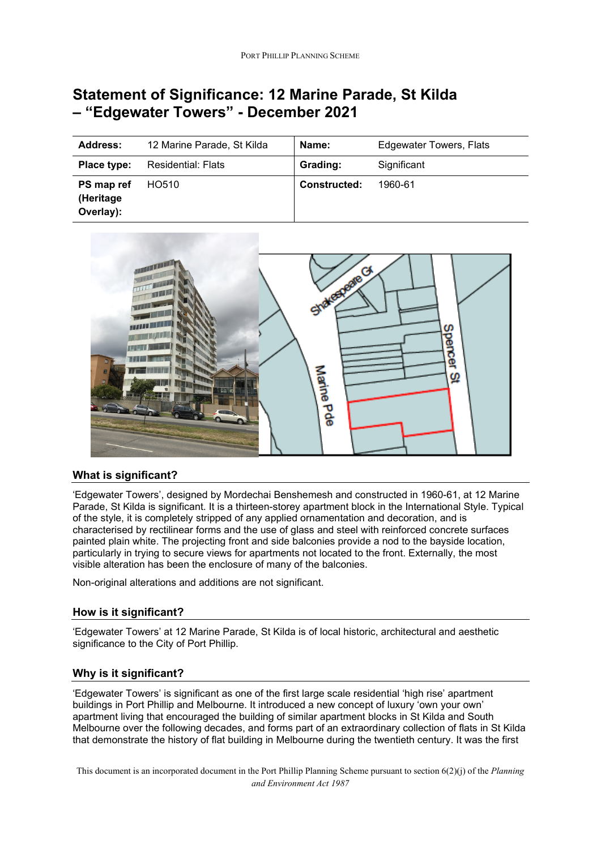# **Statement of Significance: 12 Marine Parade, St Kilda – "Edgewater Towers" - December 2021**

| <b>Address:</b>                      | 12 Marine Parade, St Kilda | Name:               | Edgewater Towers, Flats |
|--------------------------------------|----------------------------|---------------------|-------------------------|
| Place type:                          | <b>Residential: Flats</b>  | Grading:            | Significant             |
| PS map ref<br>(Heritage<br>Overlay): | HO510                      | <b>Constructed:</b> | 1960-61                 |



## **What is significant?**

'Edgewater Towers', designed by Mordechai Benshemesh and constructed in 1960-61, at 12 Marine Parade, St Kilda is significant. It is a thirteen-storey apartment block in the International Style. Typical of the style, it is completely stripped of any applied ornamentation and decoration, and is characterised by rectilinear forms and the use of glass and steel with reinforced concrete surfaces painted plain white. The projecting front and side balconies provide a nod to the bayside location, particularly in trying to secure views for apartments not located to the front. Externally, the most visible alteration has been the enclosure of many of the balconies.

Non-original alterations and additions are not significant.

## **How is it significant?**

'Edgewater Towers' at 12 Marine Parade, St Kilda is of local historic, architectural and aesthetic significance to the City of Port Phillip.

#### **Why is it significant?**

'Edgewater Towers' is significant as one of the first large scale residential 'high rise' apartment buildings in Port Phillip and Melbourne. It introduced a new concept of luxury 'own your own' apartment living that encouraged the building of similar apartment blocks in St Kilda and South Melbourne over the following decades, and forms part of an extraordinary collection of flats in St Kilda that demonstrate the history of flat building in Melbourne during the twentieth century. It was the first